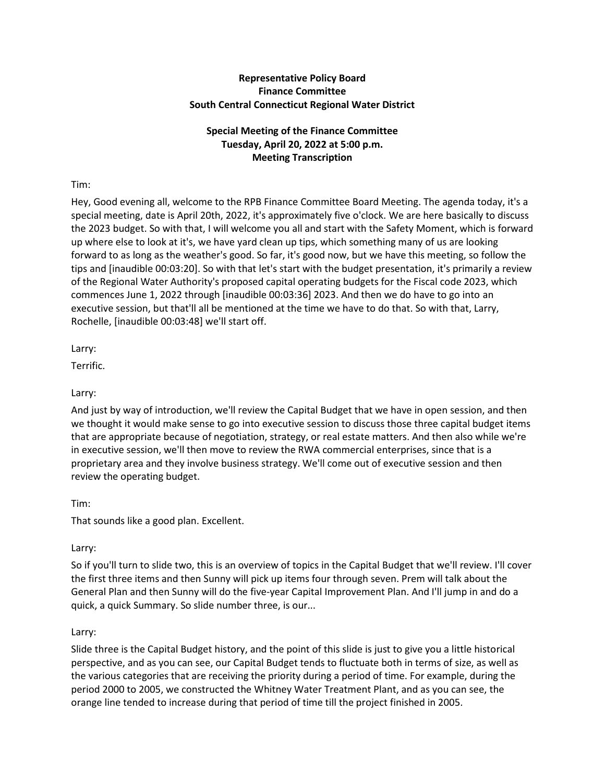# **Representative Policy Board Finance Committee South Central Connecticut Regional Water District**

# **Special Meeting of the Finance Committee Tuesday, April 20, 2022 at 5:00 p.m. Meeting Transcription**

# Tim:

Hey, Good evening all, welcome to the RPB Finance Committee Board Meeting. The agenda today, it's a special meeting, date is April 20th, 2022, it's approximately five o'clock. We are here basically to discuss the 2023 budget. So with that, I will welcome you all and start with the Safety Moment, which is forward up where else to look at it's, we have yard clean up tips, which something many of us are looking forward to as long as the weather's good. So far, it's good now, but we have this meeting, so follow the tips and [inaudible 00:03:20]. So with that let's start with the budget presentation, it's primarily a review of the Regional Water Authority's proposed capital operating budgets for the Fiscal code 2023, which commences June 1, 2022 through [inaudible 00:03:36] 2023. And then we do have to go into an executive session, but that'll all be mentioned at the time we have to do that. So with that, Larry, Rochelle, [inaudible 00:03:48] we'll start off.

Larry:

Terrific.

# Larry:

And just by way of introduction, we'll review the Capital Budget that we have in open session, and then we thought it would make sense to go into executive session to discuss those three capital budget items that are appropriate because of negotiation, strategy, or real estate matters. And then also while we're in executive session, we'll then move to review the RWA commercial enterprises, since that is a proprietary area and they involve business strategy. We'll come out of executive session and then review the operating budget.

## Tim:

That sounds like a good plan. Excellent.

## Larry:

So if you'll turn to slide two, this is an overview of topics in the Capital Budget that we'll review. I'll cover the first three items and then Sunny will pick up items four through seven. Prem will talk about the General Plan and then Sunny will do the five-year Capital Improvement Plan. And I'll jump in and do a quick, a quick Summary. So slide number three, is our...

## Larry:

Slide three is the Capital Budget history, and the point of this slide is just to give you a little historical perspective, and as you can see, our Capital Budget tends to fluctuate both in terms of size, as well as the various categories that are receiving the priority during a period of time. For example, during the period 2000 to 2005, we constructed the Whitney Water Treatment Plant, and as you can see, the orange line tended to increase during that period of time till the project finished in 2005.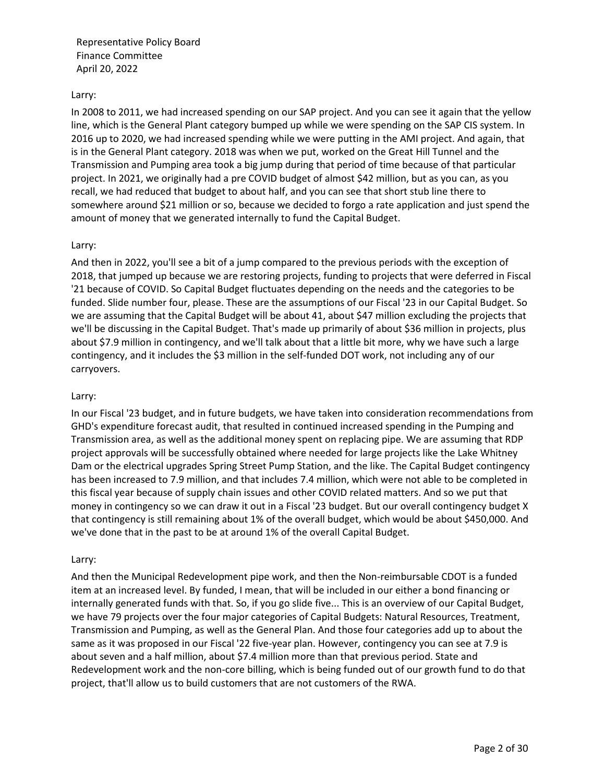## Larry:

In 2008 to 2011, we had increased spending on our SAP project. And you can see it again that the yellow line, which is the General Plant category bumped up while we were spending on the SAP CIS system. In 2016 up to 2020, we had increased spending while we were putting in the AMI project. And again, that is in the General Plant category. 2018 was when we put, worked on the Great Hill Tunnel and the Transmission and Pumping area took a big jump during that period of time because of that particular project. In 2021, we originally had a pre COVID budget of almost \$42 million, but as you can, as you recall, we had reduced that budget to about half, and you can see that short stub line there to somewhere around \$21 million or so, because we decided to forgo a rate application and just spend the amount of money that we generated internally to fund the Capital Budget.

## Larry:

And then in 2022, you'll see a bit of a jump compared to the previous periods with the exception of 2018, that jumped up because we are restoring projects, funding to projects that were deferred in Fiscal '21 because of COVID. So Capital Budget fluctuates depending on the needs and the categories to be funded. Slide number four, please. These are the assumptions of our Fiscal '23 in our Capital Budget. So we are assuming that the Capital Budget will be about 41, about \$47 million excluding the projects that we'll be discussing in the Capital Budget. That's made up primarily of about \$36 million in projects, plus about \$7.9 million in contingency, and we'll talk about that a little bit more, why we have such a large contingency, and it includes the \$3 million in the self-funded DOT work, not including any of our carryovers.

### Larry:

In our Fiscal '23 budget, and in future budgets, we have taken into consideration recommendations from GHD's expenditure forecast audit, that resulted in continued increased spending in the Pumping and Transmission area, as well as the additional money spent on replacing pipe. We are assuming that RDP project approvals will be successfully obtained where needed for large projects like the Lake Whitney Dam or the electrical upgrades Spring Street Pump Station, and the like. The Capital Budget contingency has been increased to 7.9 million, and that includes 7.4 million, which were not able to be completed in this fiscal year because of supply chain issues and other COVID related matters. And so we put that money in contingency so we can draw it out in a Fiscal '23 budget. But our overall contingency budget X that contingency is still remaining about 1% of the overall budget, which would be about \$450,000. And we've done that in the past to be at around 1% of the overall Capital Budget.

### Larry:

And then the Municipal Redevelopment pipe work, and then the Non-reimbursable CDOT is a funded item at an increased level. By funded, I mean, that will be included in our either a bond financing or internally generated funds with that. So, if you go slide five... This is an overview of our Capital Budget, we have 79 projects over the four major categories of Capital Budgets: Natural Resources, Treatment, Transmission and Pumping, as well as the General Plan. And those four categories add up to about the same as it was proposed in our Fiscal '22 five-year plan. However, contingency you can see at 7.9 is about seven and a half million, about \$7.4 million more than that previous period. State and Redevelopment work and the non-core billing, which is being funded out of our growth fund to do that project, that'll allow us to build customers that are not customers of the RWA.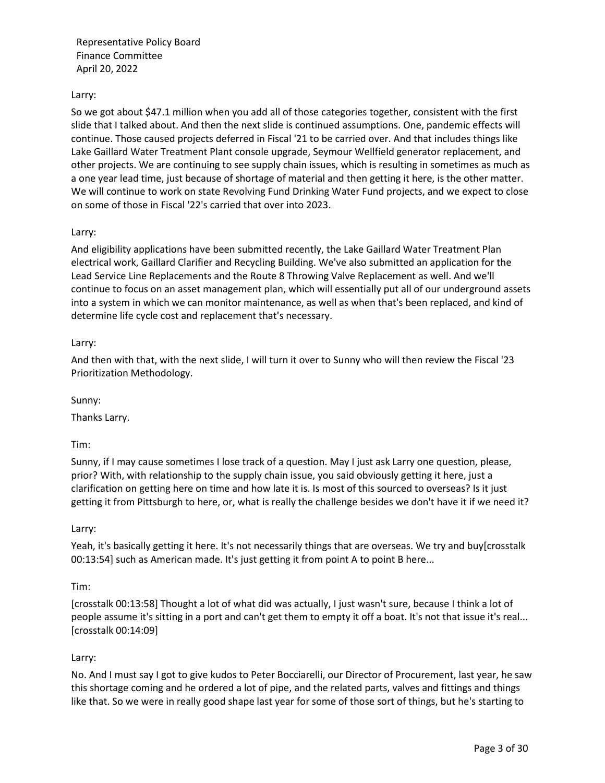## Larry:

So we got about \$47.1 million when you add all of those categories together, consistent with the first slide that I talked about. And then the next slide is continued assumptions. One, pandemic effects will continue. Those caused projects deferred in Fiscal '21 to be carried over. And that includes things like Lake Gaillard Water Treatment Plant console upgrade, Seymour Wellfield generator replacement, and other projects. We are continuing to see supply chain issues, which is resulting in sometimes as much as a one year lead time, just because of shortage of material and then getting it here, is the other matter. We will continue to work on state Revolving Fund Drinking Water Fund projects, and we expect to close on some of those in Fiscal '22's carried that over into 2023.

## Larry:

And eligibility applications have been submitted recently, the Lake Gaillard Water Treatment Plan electrical work, Gaillard Clarifier and Recycling Building. We've also submitted an application for the Lead Service Line Replacements and the Route 8 Throwing Valve Replacement as well. And we'll continue to focus on an asset management plan, which will essentially put all of our underground assets into a system in which we can monitor maintenance, as well as when that's been replaced, and kind of determine life cycle cost and replacement that's necessary.

## Larry:

And then with that, with the next slide, I will turn it over to Sunny who will then review the Fiscal '23 Prioritization Methodology.

Sunny:

Thanks Larry.

Tim:

Sunny, if I may cause sometimes I lose track of a question. May I just ask Larry one question, please, prior? With, with relationship to the supply chain issue, you said obviously getting it here, just a clarification on getting here on time and how late it is. Is most of this sourced to overseas? Is it just getting it from Pittsburgh to here, or, what is really the challenge besides we don't have it if we need it?

### Larry:

Yeah, it's basically getting it here. It's not necessarily things that are overseas. We try and buy[crosstalk 00:13:54] such as American made. It's just getting it from point A to point B here...

### Tim:

[crosstalk 00:13:58] Thought a lot of what did was actually, I just wasn't sure, because I think a lot of people assume it's sitting in a port and can't get them to empty it off a boat. It's not that issue it's real... [crosstalk 00:14:09]

## Larry:

No. And I must say I got to give kudos to Peter Bocciarelli, our Director of Procurement, last year, he saw this shortage coming and he ordered a lot of pipe, and the related parts, valves and fittings and things like that. So we were in really good shape last year for some of those sort of things, but he's starting to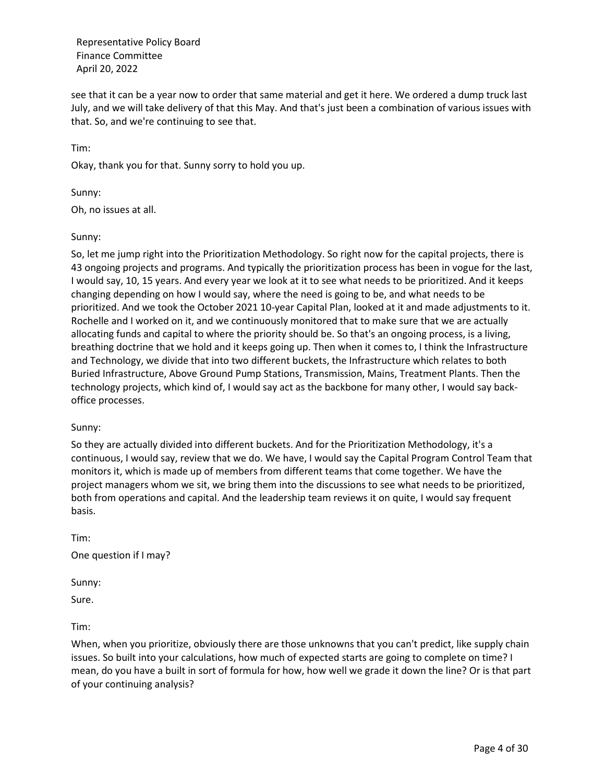see that it can be a year now to order that same material and get it here. We ordered a dump truck last July, and we will take delivery of that this May. And that's just been a combination of various issues with that. So, and we're continuing to see that.

Tim:

Okay, thank you for that. Sunny sorry to hold you up.

Sunny:

Oh, no issues at all.

## Sunny:

So, let me jump right into the Prioritization Methodology. So right now for the capital projects, there is 43 ongoing projects and programs. And typically the prioritization process has been in vogue for the last, I would say, 10, 15 years. And every year we look at it to see what needs to be prioritized. And it keeps changing depending on how I would say, where the need is going to be, and what needs to be prioritized. And we took the October 2021 10-year Capital Plan, looked at it and made adjustments to it. Rochelle and I worked on it, and we continuously monitored that to make sure that we are actually allocating funds and capital to where the priority should be. So that's an ongoing process, is a living, breathing doctrine that we hold and it keeps going up. Then when it comes to, I think the Infrastructure and Technology, we divide that into two different buckets, the Infrastructure which relates to both Buried Infrastructure, Above Ground Pump Stations, Transmission, Mains, Treatment Plants. Then the technology projects, which kind of, I would say act as the backbone for many other, I would say backoffice processes.

## Sunny:

So they are actually divided into different buckets. And for the Prioritization Methodology, it's a continuous, I would say, review that we do. We have, I would say the Capital Program Control Team that monitors it, which is made up of members from different teams that come together. We have the project managers whom we sit, we bring them into the discussions to see what needs to be prioritized, both from operations and capital. And the leadership team reviews it on quite, I would say frequent basis.

Tim: One question if I may?

Sunny:

Sure.

Tim:

When, when you prioritize, obviously there are those unknowns that you can't predict, like supply chain issues. So built into your calculations, how much of expected starts are going to complete on time? I mean, do you have a built in sort of formula for how, how well we grade it down the line? Or is that part of your continuing analysis?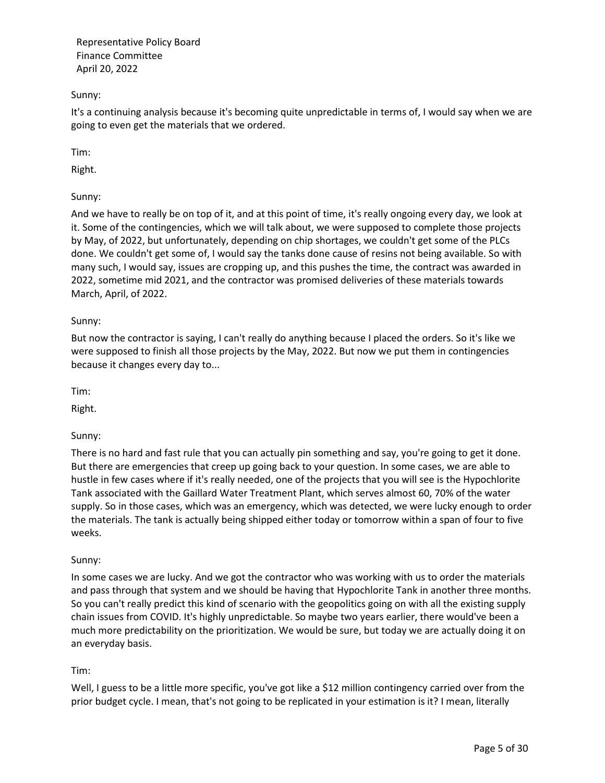## Sunny:

It's a continuing analysis because it's becoming quite unpredictable in terms of, I would say when we are going to even get the materials that we ordered.

Tim:

Right.

Sunny:

And we have to really be on top of it, and at this point of time, it's really ongoing every day, we look at it. Some of the contingencies, which we will talk about, we were supposed to complete those projects by May, of 2022, but unfortunately, depending on chip shortages, we couldn't get some of the PLCs done. We couldn't get some of, I would say the tanks done cause of resins not being available. So with many such, I would say, issues are cropping up, and this pushes the time, the contract was awarded in 2022, sometime mid 2021, and the contractor was promised deliveries of these materials towards March, April, of 2022.

## Sunny:

But now the contractor is saying, I can't really do anything because I placed the orders. So it's like we were supposed to finish all those projects by the May, 2022. But now we put them in contingencies because it changes every day to...

Tim:

Right.

## Sunny:

There is no hard and fast rule that you can actually pin something and say, you're going to get it done. But there are emergencies that creep up going back to your question. In some cases, we are able to hustle in few cases where if it's really needed, one of the projects that you will see is the Hypochlorite Tank associated with the Gaillard Water Treatment Plant, which serves almost 60, 70% of the water supply. So in those cases, which was an emergency, which was detected, we were lucky enough to order the materials. The tank is actually being shipped either today or tomorrow within a span of four to five weeks.

## Sunny:

In some cases we are lucky. And we got the contractor who was working with us to order the materials and pass through that system and we should be having that Hypochlorite Tank in another three months. So you can't really predict this kind of scenario with the geopolitics going on with all the existing supply chain issues from COVID. It's highly unpredictable. So maybe two years earlier, there would've been a much more predictability on the prioritization. We would be sure, but today we are actually doing it on an everyday basis.

## Tim:

Well, I guess to be a little more specific, you've got like a \$12 million contingency carried over from the prior budget cycle. I mean, that's not going to be replicated in your estimation is it? I mean, literally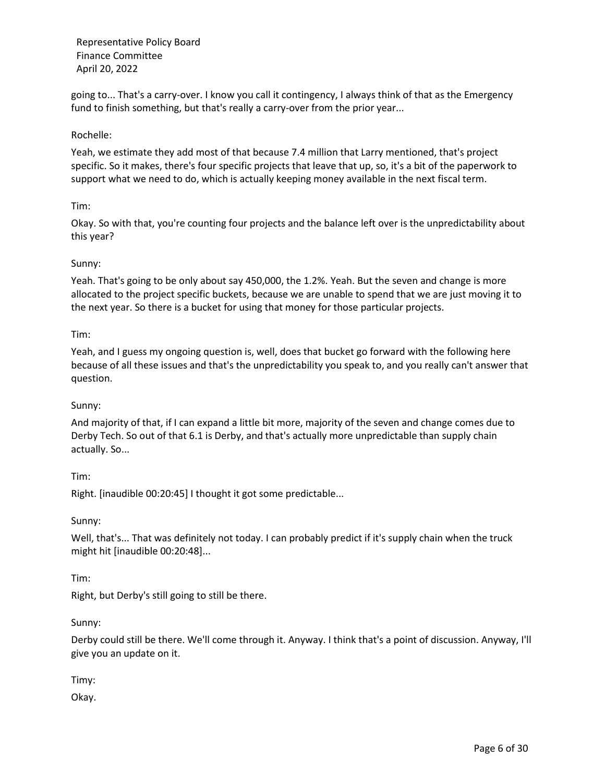going to... That's a carry-over. I know you call it contingency, I always think of that as the Emergency fund to finish something, but that's really a carry-over from the prior year...

## Rochelle:

Yeah, we estimate they add most of that because 7.4 million that Larry mentioned, that's project specific. So it makes, there's four specific projects that leave that up, so, it's a bit of the paperwork to support what we need to do, which is actually keeping money available in the next fiscal term.

## Tim:

Okay. So with that, you're counting four projects and the balance left over is the unpredictability about this year?

## Sunny:

Yeah. That's going to be only about say 450,000, the 1.2%. Yeah. But the seven and change is more allocated to the project specific buckets, because we are unable to spend that we are just moving it to the next year. So there is a bucket for using that money for those particular projects.

## Tim:

Yeah, and I guess my ongoing question is, well, does that bucket go forward with the following here because of all these issues and that's the unpredictability you speak to, and you really can't answer that question.

### Sunny:

And majority of that, if I can expand a little bit more, majority of the seven and change comes due to Derby Tech. So out of that 6.1 is Derby, and that's actually more unpredictable than supply chain actually. So...

Tim:

Right. [inaudible 00:20:45] I thought it got some predictable...

Sunny:

Well, that's... That was definitely not today. I can probably predict if it's supply chain when the truck might hit [inaudible 00:20:48]...

Tim:

Right, but Derby's still going to still be there.

### Sunny:

Derby could still be there. We'll come through it. Anyway. I think that's a point of discussion. Anyway, I'll give you an update on it.

Timy:

Okay.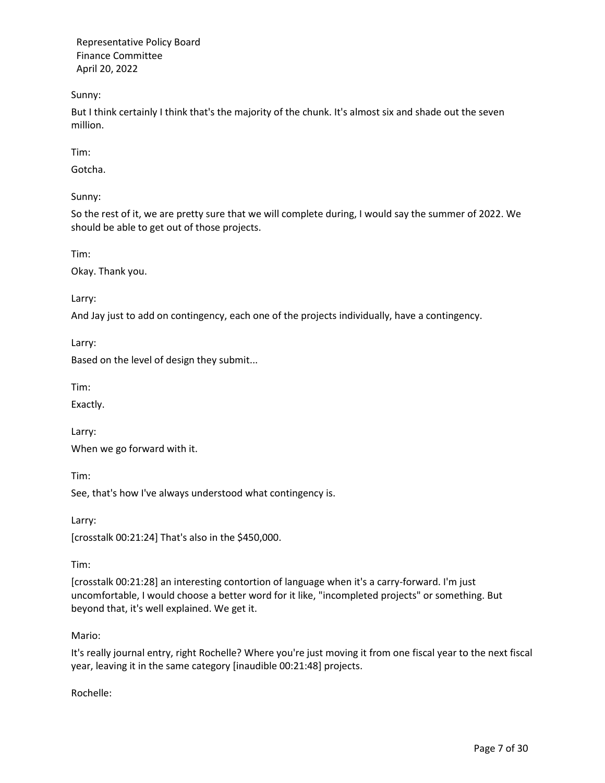Sunny:

But I think certainly I think that's the majority of the chunk. It's almost six and shade out the seven million.

Tim:

Gotcha.

Sunny:

So the rest of it, we are pretty sure that we will complete during, I would say the summer of 2022. We should be able to get out of those projects.

Tim:

Okay. Thank you.

Larry:

And Jay just to add on contingency, each one of the projects individually, have a contingency.

Larry:

Based on the level of design they submit...

Tim:

Exactly.

Larry: When we go forward with it.

Tim:

See, that's how I've always understood what contingency is.

Larry:

[crosstalk 00:21:24] That's also in the \$450,000.

Tim:

[crosstalk 00:21:28] an interesting contortion of language when it's a carry-forward. I'm just uncomfortable, I would choose a better word for it like, "incompleted projects" or something. But beyond that, it's well explained. We get it.

## Mario:

It's really journal entry, right Rochelle? Where you're just moving it from one fiscal year to the next fiscal year, leaving it in the same category [inaudible 00:21:48] projects.

Rochelle: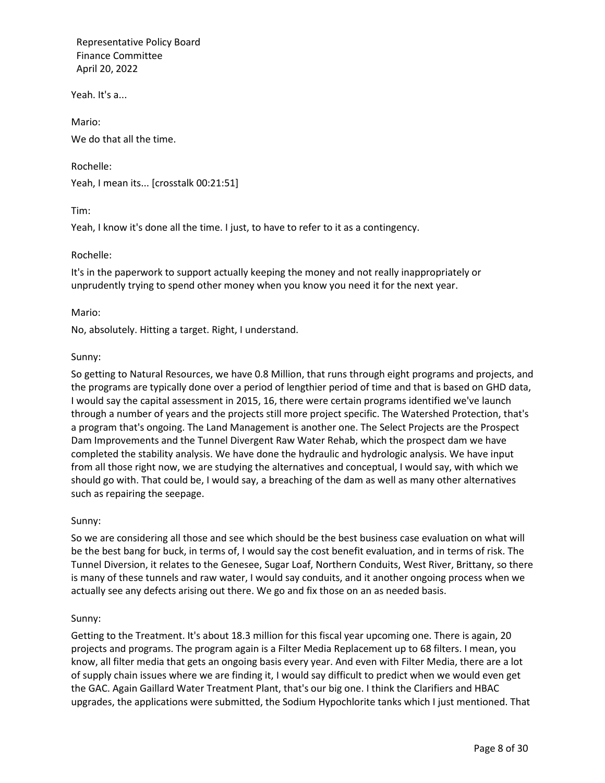Yeah. It's a...

Mario: We do that all the time.

Yeah, I mean its... [crosstalk 00:21:51]

Tim:

Yeah, I know it's done all the time. I just, to have to refer to it as a contingency.

## Rochelle:

Rochelle:

It's in the paperwork to support actually keeping the money and not really inappropriately or unprudently trying to spend other money when you know you need it for the next year.

## Mario:

No, absolutely. Hitting a target. Right, I understand.

## Sunny:

So getting to Natural Resources, we have 0.8 Million, that runs through eight programs and projects, and the programs are typically done over a period of lengthier period of time and that is based on GHD data, I would say the capital assessment in 2015, 16, there were certain programs identified we've launch through a number of years and the projects still more project specific. The Watershed Protection, that's a program that's ongoing. The Land Management is another one. The Select Projects are the Prospect Dam Improvements and the Tunnel Divergent Raw Water Rehab, which the prospect dam we have completed the stability analysis. We have done the hydraulic and hydrologic analysis. We have input from all those right now, we are studying the alternatives and conceptual, I would say, with which we should go with. That could be, I would say, a breaching of the dam as well as many other alternatives such as repairing the seepage.

### Sunny:

So we are considering all those and see which should be the best business case evaluation on what will be the best bang for buck, in terms of, I would say the cost benefit evaluation, and in terms of risk. The Tunnel Diversion, it relates to the Genesee, Sugar Loaf, Northern Conduits, West River, Brittany, so there is many of these tunnels and raw water, I would say conduits, and it another ongoing process when we actually see any defects arising out there. We go and fix those on an as needed basis.

### Sunny:

Getting to the Treatment. It's about 18.3 million for this fiscal year upcoming one. There is again, 20 projects and programs. The program again is a Filter Media Replacement up to 68 filters. I mean, you know, all filter media that gets an ongoing basis every year. And even with Filter Media, there are a lot of supply chain issues where we are finding it, I would say difficult to predict when we would even get the GAC. Again Gaillard Water Treatment Plant, that's our big one. I think the Clarifiers and HBAC upgrades, the applications were submitted, the Sodium Hypochlorite tanks which I just mentioned. That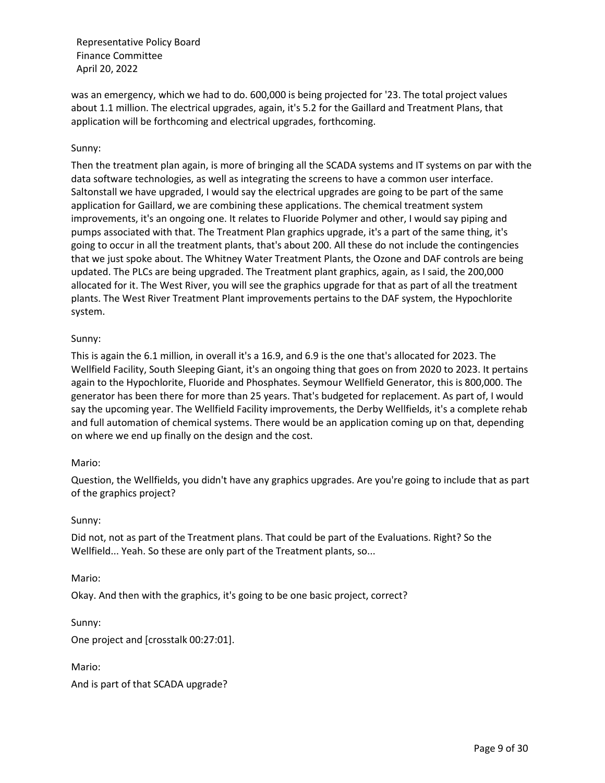was an emergency, which we had to do. 600,000 is being projected for '23. The total project values about 1.1 million. The electrical upgrades, again, it's 5.2 for the Gaillard and Treatment Plans, that application will be forthcoming and electrical upgrades, forthcoming.

## Sunny:

Then the treatment plan again, is more of bringing all the SCADA systems and IT systems on par with the data software technologies, as well as integrating the screens to have a common user interface. Saltonstall we have upgraded, I would say the electrical upgrades are going to be part of the same application for Gaillard, we are combining these applications. The chemical treatment system improvements, it's an ongoing one. It relates to Fluoride Polymer and other, I would say piping and pumps associated with that. The Treatment Plan graphics upgrade, it's a part of the same thing, it's going to occur in all the treatment plants, that's about 200. All these do not include the contingencies that we just spoke about. The Whitney Water Treatment Plants, the Ozone and DAF controls are being updated. The PLCs are being upgraded. The Treatment plant graphics, again, as I said, the 200,000 allocated for it. The West River, you will see the graphics upgrade for that as part of all the treatment plants. The West River Treatment Plant improvements pertains to the DAF system, the Hypochlorite system.

## Sunny:

This is again the 6.1 million, in overall it's a 16.9, and 6.9 is the one that's allocated for 2023. The Wellfield Facility, South Sleeping Giant, it's an ongoing thing that goes on from 2020 to 2023. It pertains again to the Hypochlorite, Fluoride and Phosphates. Seymour Wellfield Generator, this is 800,000. The generator has been there for more than 25 years. That's budgeted for replacement. As part of, I would say the upcoming year. The Wellfield Facility improvements, the Derby Wellfields, it's a complete rehab and full automation of chemical systems. There would be an application coming up on that, depending on where we end up finally on the design and the cost.

### Mario:

Question, the Wellfields, you didn't have any graphics upgrades. Are you're going to include that as part of the graphics project?

### Sunny:

Did not, not as part of the Treatment plans. That could be part of the Evaluations. Right? So the Wellfield... Yeah. So these are only part of the Treatment plants, so...

### Mario:

Okay. And then with the graphics, it's going to be one basic project, correct?

Sunny:

One project and [crosstalk 00:27:01].

Mario:

And is part of that SCADA upgrade?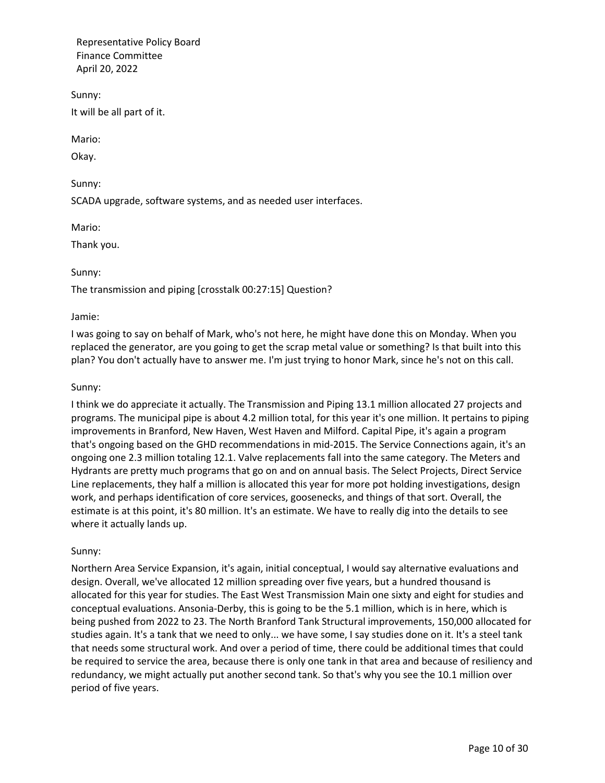Sunny: It will be all part of it.

Mario:

Okay.

Sunny:

SCADA upgrade, software systems, and as needed user interfaces.

Mario:

Thank you.

# Sunny:

The transmission and piping [crosstalk 00:27:15] Question?

## Jamie:

I was going to say on behalf of Mark, who's not here, he might have done this on Monday. When you replaced the generator, are you going to get the scrap metal value or something? Is that built into this plan? You don't actually have to answer me. I'm just trying to honor Mark, since he's not on this call.

## Sunny:

I think we do appreciate it actually. The Transmission and Piping 13.1 million allocated 27 projects and programs. The municipal pipe is about 4.2 million total, for this year it's one million. It pertains to piping improvements in Branford, New Haven, West Haven and Milford. Capital Pipe, it's again a program that's ongoing based on the GHD recommendations in mid-2015. The Service Connections again, it's an ongoing one 2.3 million totaling 12.1. Valve replacements fall into the same category. The Meters and Hydrants are pretty much programs that go on and on annual basis. The Select Projects, Direct Service Line replacements, they half a million is allocated this year for more pot holding investigations, design work, and perhaps identification of core services, goosenecks, and things of that sort. Overall, the estimate is at this point, it's 80 million. It's an estimate. We have to really dig into the details to see where it actually lands up.

## Sunny:

Northern Area Service Expansion, it's again, initial conceptual, I would say alternative evaluations and design. Overall, we've allocated 12 million spreading over five years, but a hundred thousand is allocated for this year for studies. The East West Transmission Main one sixty and eight for studies and conceptual evaluations. Ansonia-Derby, this is going to be the 5.1 million, which is in here, which is being pushed from 2022 to 23. The North Branford Tank Structural improvements, 150,000 allocated for studies again. It's a tank that we need to only... we have some, I say studies done on it. It's a steel tank that needs some structural work. And over a period of time, there could be additional times that could be required to service the area, because there is only one tank in that area and because of resiliency and redundancy, we might actually put another second tank. So that's why you see the 10.1 million over period of five years.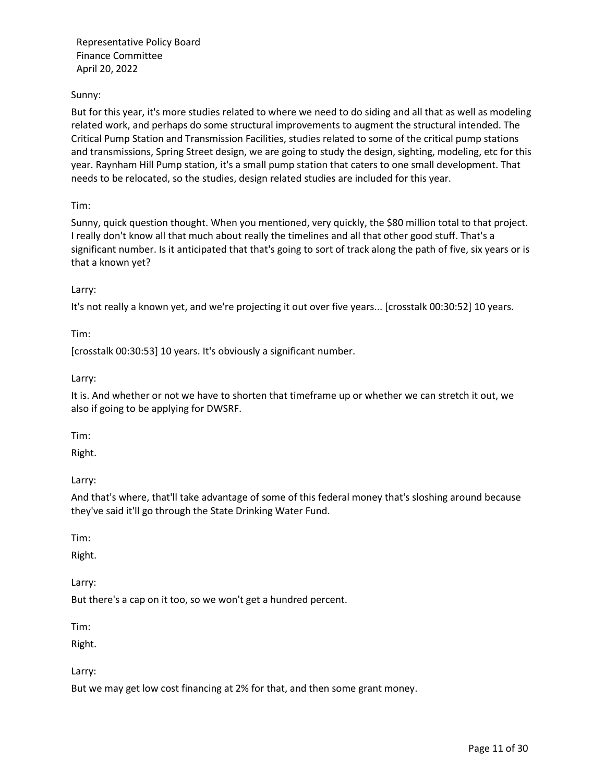## Sunny:

But for this year, it's more studies related to where we need to do siding and all that as well as modeling related work, and perhaps do some structural improvements to augment the structural intended. The Critical Pump Station and Transmission Facilities, studies related to some of the critical pump stations and transmissions, Spring Street design, we are going to study the design, sighting, modeling, etc for this year. Raynham Hill Pump station, it's a small pump station that caters to one small development. That needs to be relocated, so the studies, design related studies are included for this year.

Tim:

Sunny, quick question thought. When you mentioned, very quickly, the \$80 million total to that project. I really don't know all that much about really the timelines and all that other good stuff. That's a significant number. Is it anticipated that that's going to sort of track along the path of five, six years or is that a known yet?

## Larry:

It's not really a known yet, and we're projecting it out over five years... [crosstalk 00:30:52] 10 years.

Tim:

[crosstalk 00:30:53] 10 years. It's obviously a significant number.

Larry:

It is. And whether or not we have to shorten that timeframe up or whether we can stretch it out, we also if going to be applying for DWSRF.

Tim:

Right.

Larry:

And that's where, that'll take advantage of some of this federal money that's sloshing around because they've said it'll go through the State Drinking Water Fund.

Tim:

Right.

Larry:

But there's a cap on it too, so we won't get a hundred percent.

Tim:

Right.

Larry:

But we may get low cost financing at 2% for that, and then some grant money.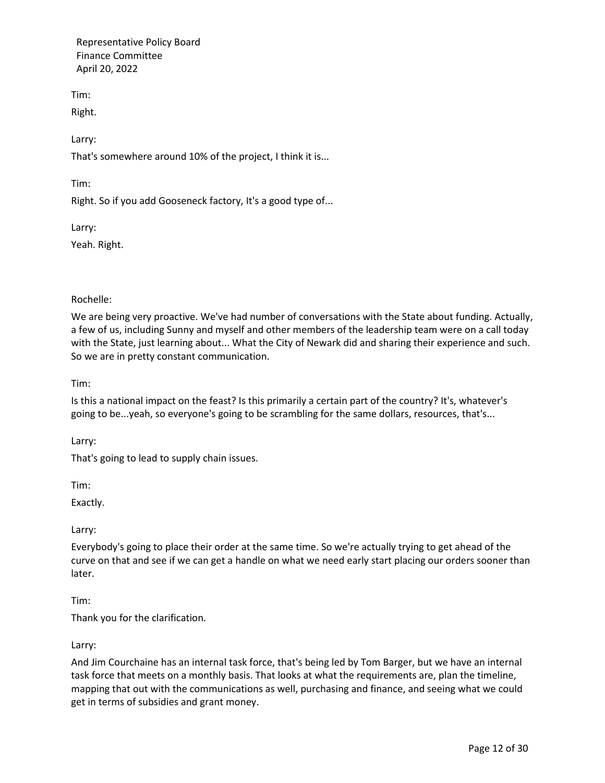Tim:

Right.

Larry:

That's somewhere around 10% of the project, I think it is...

Tim:

Right. So if you add Gooseneck factory, It's a good type of...

Larry:

Yeah. Right.

Rochelle:

We are being very proactive. We've had number of conversations with the State about funding. Actually, a few of us, including Sunny and myself and other members of the leadership team were on a call today with the State, just learning about... What the City of Newark did and sharing their experience and such. So we are in pretty constant communication.

Tim:

Is this a national impact on the feast? Is this primarily a certain part of the country? It's, whatever's going to be...yeah, so everyone's going to be scrambling for the same dollars, resources, that's...

Larry:

That's going to lead to supply chain issues.

Tim:

Exactly.

Larry:

Everybody's going to place their order at the same time. So we're actually trying to get ahead of the curve on that and see if we can get a handle on what we need early start placing our orders sooner than later.

Tim:

Thank you for the clarification.

Larry:

And Jim Courchaine has an internal task force, that's being led by Tom Barger, but we have an internal task force that meets on a monthly basis. That looks at what the requirements are, plan the timeline, mapping that out with the communications as well, purchasing and finance, and seeing what we could get in terms of subsidies and grant money.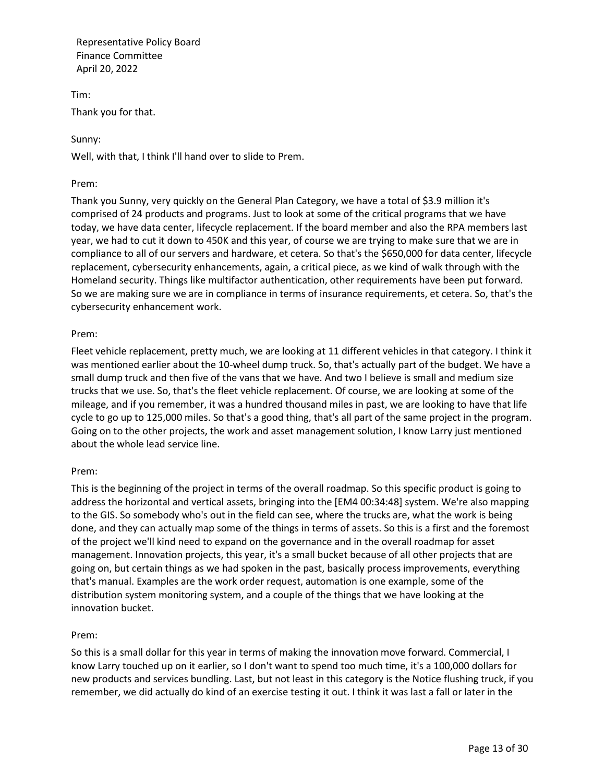Tim: Thank you for that.

## Sunny:

Well, with that, I think I'll hand over to slide to Prem.

## Prem:

Thank you Sunny, very quickly on the General Plan Category, we have a total of \$3.9 million it's comprised of 24 products and programs. Just to look at some of the critical programs that we have today, we have data center, lifecycle replacement. If the board member and also the RPA members last year, we had to cut it down to 450K and this year, of course we are trying to make sure that we are in compliance to all of our servers and hardware, et cetera. So that's the \$650,000 for data center, lifecycle replacement, cybersecurity enhancements, again, a critical piece, as we kind of walk through with the Homeland security. Things like multifactor authentication, other requirements have been put forward. So we are making sure we are in compliance in terms of insurance requirements, et cetera. So, that's the cybersecurity enhancement work.

# Prem:

Fleet vehicle replacement, pretty much, we are looking at 11 different vehicles in that category. I think it was mentioned earlier about the 10-wheel dump truck. So, that's actually part of the budget. We have a small dump truck and then five of the vans that we have. And two I believe is small and medium size trucks that we use. So, that's the fleet vehicle replacement. Of course, we are looking at some of the mileage, and if you remember, it was a hundred thousand miles in past, we are looking to have that life cycle to go up to 125,000 miles. So that's a good thing, that's all part of the same project in the program. Going on to the other projects, the work and asset management solution, I know Larry just mentioned about the whole lead service line.

## Prem:

This is the beginning of the project in terms of the overall roadmap. So this specific product is going to address the horizontal and vertical assets, bringing into the [EM4 00:34:48] system. We're also mapping to the GIS. So somebody who's out in the field can see, where the trucks are, what the work is being done, and they can actually map some of the things in terms of assets. So this is a first and the foremost of the project we'll kind need to expand on the governance and in the overall roadmap for asset management. Innovation projects, this year, it's a small bucket because of all other projects that are going on, but certain things as we had spoken in the past, basically process improvements, everything that's manual. Examples are the work order request, automation is one example, some of the distribution system monitoring system, and a couple of the things that we have looking at the innovation bucket.

## Prem:

So this is a small dollar for this year in terms of making the innovation move forward. Commercial, I know Larry touched up on it earlier, so I don't want to spend too much time, it's a 100,000 dollars for new products and services bundling. Last, but not least in this category is the Notice flushing truck, if you remember, we did actually do kind of an exercise testing it out. I think it was last a fall or later in the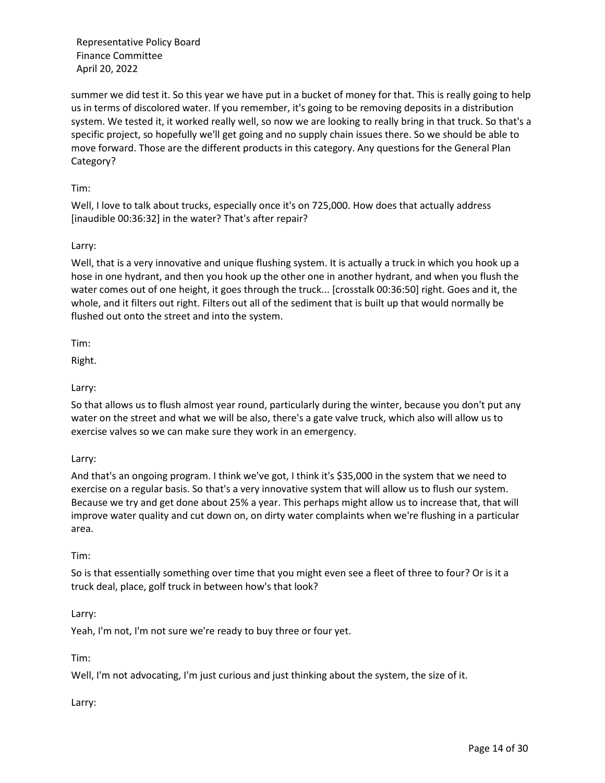summer we did test it. So this year we have put in a bucket of money for that. This is really going to help us in terms of discolored water. If you remember, it's going to be removing deposits in a distribution system. We tested it, it worked really well, so now we are looking to really bring in that truck. So that's a specific project, so hopefully we'll get going and no supply chain issues there. So we should be able to move forward. Those are the different products in this category. Any questions for the General Plan Category?

## Tim:

Well, I love to talk about trucks, especially once it's on 725,000. How does that actually address [inaudible 00:36:32] in the water? That's after repair?

## Larry:

Well, that is a very innovative and unique flushing system. It is actually a truck in which you hook up a hose in one hydrant, and then you hook up the other one in another hydrant, and when you flush the water comes out of one height, it goes through the truck... [crosstalk 00:36:50] right. Goes and it, the whole, and it filters out right. Filters out all of the sediment that is built up that would normally be flushed out onto the street and into the system.

Tim:

Right.

## Larry:

So that allows us to flush almost year round, particularly during the winter, because you don't put any water on the street and what we will be also, there's a gate valve truck, which also will allow us to exercise valves so we can make sure they work in an emergency.

Larry:

And that's an ongoing program. I think we've got, I think it's \$35,000 in the system that we need to exercise on a regular basis. So that's a very innovative system that will allow us to flush our system. Because we try and get done about 25% a year. This perhaps might allow us to increase that, that will improve water quality and cut down on, on dirty water complaints when we're flushing in a particular area.

### Tim:

So is that essentially something over time that you might even see a fleet of three to four? Or is it a truck deal, place, golf truck in between how's that look?

## Larry:

Yeah, I'm not, I'm not sure we're ready to buy three or four yet.

## Tim:

Well, I'm not advocating, I'm just curious and just thinking about the system, the size of it.

## Larry: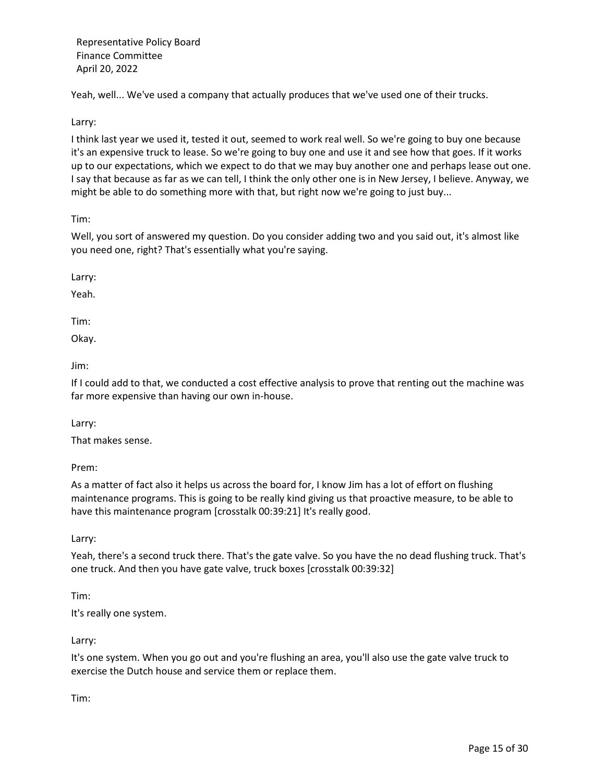Yeah, well... We've used a company that actually produces that we've used one of their trucks.

Larry:

I think last year we used it, tested it out, seemed to work real well. So we're going to buy one because it's an expensive truck to lease. So we're going to buy one and use it and see how that goes. If it works up to our expectations, which we expect to do that we may buy another one and perhaps lease out one. I say that because as far as we can tell, I think the only other one is in New Jersey, I believe. Anyway, we might be able to do something more with that, but right now we're going to just buy...

Tim:

Well, you sort of answered my question. Do you consider adding two and you said out, it's almost like you need one, right? That's essentially what you're saying.

Larry:

Yeah.

Tim:

Okay.

Jim:

If I could add to that, we conducted a cost effective analysis to prove that renting out the machine was far more expensive than having our own in-house.

Larry:

That makes sense.

Prem:

As a matter of fact also it helps us across the board for, I know Jim has a lot of effort on flushing maintenance programs. This is going to be really kind giving us that proactive measure, to be able to have this maintenance program [crosstalk 00:39:21] It's really good.

Larry:

Yeah, there's a second truck there. That's the gate valve. So you have the no dead flushing truck. That's one truck. And then you have gate valve, truck boxes [crosstalk 00:39:32]

Tim:

It's really one system.

Larry:

It's one system. When you go out and you're flushing an area, you'll also use the gate valve truck to exercise the Dutch house and service them or replace them.

Tim: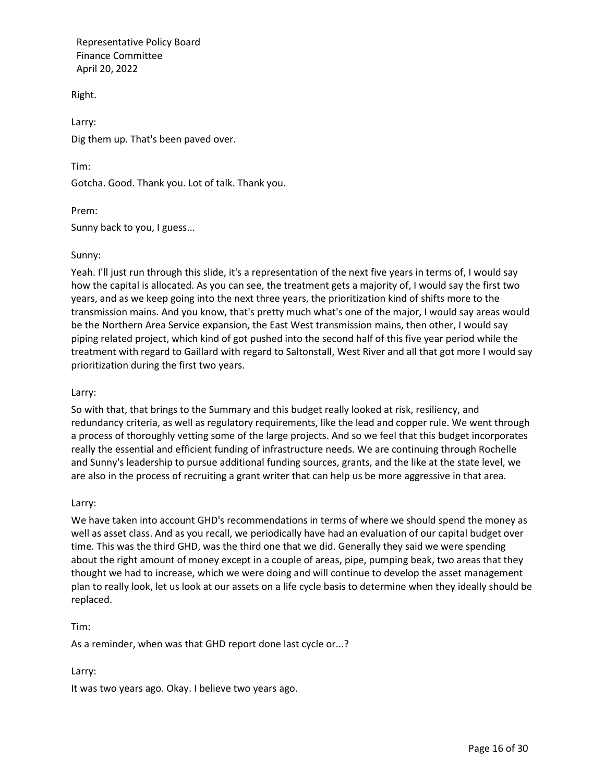Right.

Larry: Dig them up. That's been paved over.

Tim:

Gotcha. Good. Thank you. Lot of talk. Thank you.

Prem:

Sunny back to you, I guess...

## Sunny:

Yeah. I'll just run through this slide, it's a representation of the next five years in terms of, I would say how the capital is allocated. As you can see, the treatment gets a majority of, I would say the first two years, and as we keep going into the next three years, the prioritization kind of shifts more to the transmission mains. And you know, that's pretty much what's one of the major, I would say areas would be the Northern Area Service expansion, the East West transmission mains, then other, I would say piping related project, which kind of got pushed into the second half of this five year period while the treatment with regard to Gaillard with regard to Saltonstall, West River and all that got more I would say prioritization during the first two years.

## Larry:

So with that, that brings to the Summary and this budget really looked at risk, resiliency, and redundancy criteria, as well as regulatory requirements, like the lead and copper rule. We went through a process of thoroughly vetting some of the large projects. And so we feel that this budget incorporates really the essential and efficient funding of infrastructure needs. We are continuing through Rochelle and Sunny's leadership to pursue additional funding sources, grants, and the like at the state level, we are also in the process of recruiting a grant writer that can help us be more aggressive in that area.

## Larry:

We have taken into account GHD's recommendations in terms of where we should spend the money as well as asset class. And as you recall, we periodically have had an evaluation of our capital budget over time. This was the third GHD, was the third one that we did. Generally they said we were spending about the right amount of money except in a couple of areas, pipe, pumping beak, two areas that they thought we had to increase, which we were doing and will continue to develop the asset management plan to really look, let us look at our assets on a life cycle basis to determine when they ideally should be replaced.

### Tim:

As a reminder, when was that GHD report done last cycle or...?

## Larry:

It was two years ago. Okay. I believe two years ago.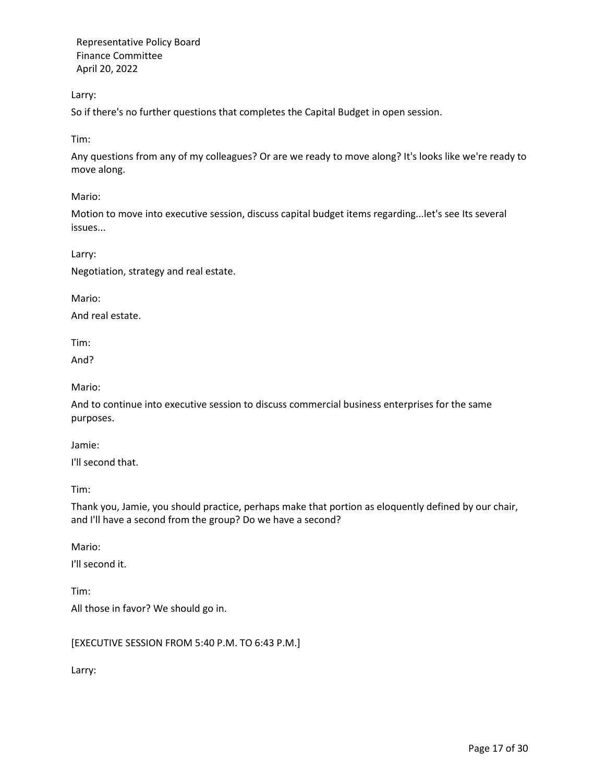Larry:

So if there's no further questions that completes the Capital Budget in open session.

Tim:

Any questions from any of my colleagues? Or are we ready to move along? It's looks like we're ready to move along.

Mario:

Motion to move into executive session, discuss capital budget items regarding...let's see Its several issues...

Larry:

Negotiation, strategy and real estate.

Mario:

And real estate.

Tim:

And?

Mario:

And to continue into executive session to discuss commercial business enterprises for the same purposes.

Jamie:

I'll second that.

Tim:

Thank you, Jamie, you should practice, perhaps make that portion as eloquently defined by our chair, and I'll have a second from the group? Do we have a second?

Mario:

Tim:

I'll second it.

All those in favor? We should go in.

[EXECUTIVE SESSION FROM 5:40 P.M. TO 6:43 P.M.]

Larry: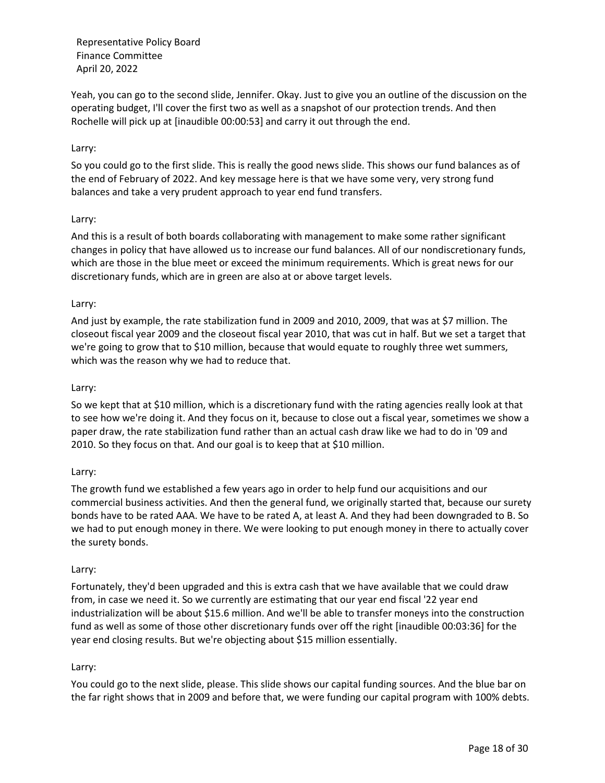Yeah, you can go to the second slide, Jennifer. Okay. Just to give you an outline of the discussion on the operating budget, I'll cover the first two as well as a snapshot of our protection trends. And then Rochelle will pick up at [inaudible 00:00:53] and carry it out through the end.

## Larry:

So you could go to the first slide. This is really the good news slide. This shows our fund balances as of the end of February of 2022. And key message here is that we have some very, very strong fund balances and take a very prudent approach to year end fund transfers.

## Larry:

And this is a result of both boards collaborating with management to make some rather significant changes in policy that have allowed us to increase our fund balances. All of our nondiscretionary funds, which are those in the blue meet or exceed the minimum requirements. Which is great news for our discretionary funds, which are in green are also at or above target levels.

## Larry:

And just by example, the rate stabilization fund in 2009 and 2010, 2009, that was at \$7 million. The closeout fiscal year 2009 and the closeout fiscal year 2010, that was cut in half. But we set a target that we're going to grow that to \$10 million, because that would equate to roughly three wet summers, which was the reason why we had to reduce that.

### Larry:

So we kept that at \$10 million, which is a discretionary fund with the rating agencies really look at that to see how we're doing it. And they focus on it, because to close out a fiscal year, sometimes we show a paper draw, the rate stabilization fund rather than an actual cash draw like we had to do in '09 and 2010. So they focus on that. And our goal is to keep that at \$10 million.

### Larry:

The growth fund we established a few years ago in order to help fund our acquisitions and our commercial business activities. And then the general fund, we originally started that, because our surety bonds have to be rated AAA. We have to be rated A, at least A. And they had been downgraded to B. So we had to put enough money in there. We were looking to put enough money in there to actually cover the surety bonds.

### Larry:

Fortunately, they'd been upgraded and this is extra cash that we have available that we could draw from, in case we need it. So we currently are estimating that our year end fiscal '22 year end industrialization will be about \$15.6 million. And we'll be able to transfer moneys into the construction fund as well as some of those other discretionary funds over off the right [inaudible 00:03:36] for the year end closing results. But we're objecting about \$15 million essentially.

### Larry:

You could go to the next slide, please. This slide shows our capital funding sources. And the blue bar on the far right shows that in 2009 and before that, we were funding our capital program with 100% debts.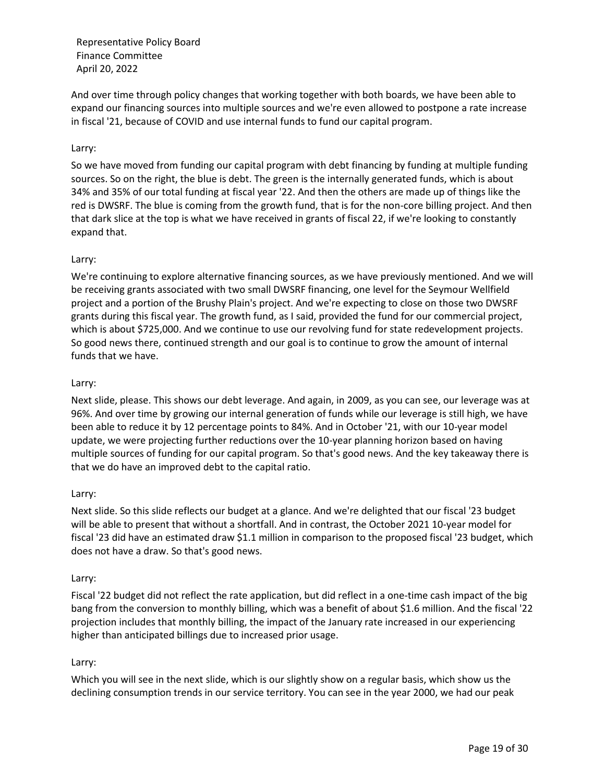And over time through policy changes that working together with both boards, we have been able to expand our financing sources into multiple sources and we're even allowed to postpone a rate increase in fiscal '21, because of COVID and use internal funds to fund our capital program.

## Larry:

So we have moved from funding our capital program with debt financing by funding at multiple funding sources. So on the right, the blue is debt. The green is the internally generated funds, which is about 34% and 35% of our total funding at fiscal year '22. And then the others are made up of things like the red is DWSRF. The blue is coming from the growth fund, that is for the non-core billing project. And then that dark slice at the top is what we have received in grants of fiscal 22, if we're looking to constantly expand that.

## Larry:

We're continuing to explore alternative financing sources, as we have previously mentioned. And we will be receiving grants associated with two small DWSRF financing, one level for the Seymour Wellfield project and a portion of the Brushy Plain's project. And we're expecting to close on those two DWSRF grants during this fiscal year. The growth fund, as I said, provided the fund for our commercial project, which is about \$725,000. And we continue to use our revolving fund for state redevelopment projects. So good news there, continued strength and our goal is to continue to grow the amount of internal funds that we have.

### Larry:

Next slide, please. This shows our debt leverage. And again, in 2009, as you can see, our leverage was at 96%. And over time by growing our internal generation of funds while our leverage is still high, we have been able to reduce it by 12 percentage points to 84%. And in October '21, with our 10-year model update, we were projecting further reductions over the 10-year planning horizon based on having multiple sources of funding for our capital program. So that's good news. And the key takeaway there is that we do have an improved debt to the capital ratio.

### Larry:

Next slide. So this slide reflects our budget at a glance. And we're delighted that our fiscal '23 budget will be able to present that without a shortfall. And in contrast, the October 2021 10-year model for fiscal '23 did have an estimated draw \$1.1 million in comparison to the proposed fiscal '23 budget, which does not have a draw. So that's good news.

### Larry:

Fiscal '22 budget did not reflect the rate application, but did reflect in a one-time cash impact of the big bang from the conversion to monthly billing, which was a benefit of about \$1.6 million. And the fiscal '22 projection includes that monthly billing, the impact of the January rate increased in our experiencing higher than anticipated billings due to increased prior usage.

### Larry:

Which you will see in the next slide, which is our slightly show on a regular basis, which show us the declining consumption trends in our service territory. You can see in the year 2000, we had our peak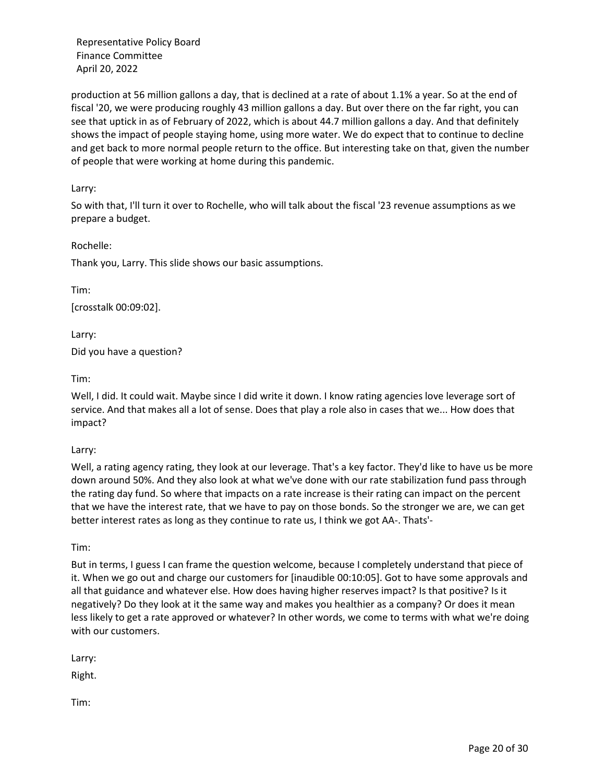production at 56 million gallons a day, that is declined at a rate of about 1.1% a year. So at the end of fiscal '20, we were producing roughly 43 million gallons a day. But over there on the far right, you can see that uptick in as of February of 2022, which is about 44.7 million gallons a day. And that definitely shows the impact of people staying home, using more water. We do expect that to continue to decline and get back to more normal people return to the office. But interesting take on that, given the number of people that were working at home during this pandemic.

## Larry:

So with that, I'll turn it over to Rochelle, who will talk about the fiscal '23 revenue assumptions as we prepare a budget.

## Rochelle:

Thank you, Larry. This slide shows our basic assumptions.

Tim: [crosstalk 00:09:02].

Larry: Did you have a question?

## Tim:

Well, I did. It could wait. Maybe since I did write it down. I know rating agencies love leverage sort of service. And that makes all a lot of sense. Does that play a role also in cases that we... How does that impact?

### Larry:

Well, a rating agency rating, they look at our leverage. That's a key factor. They'd like to have us be more down around 50%. And they also look at what we've done with our rate stabilization fund pass through the rating day fund. So where that impacts on a rate increase is their rating can impact on the percent that we have the interest rate, that we have to pay on those bonds. So the stronger we are, we can get better interest rates as long as they continue to rate us, I think we got AA-. Thats'-

### Tim:

But in terms, I guess I can frame the question welcome, because I completely understand that piece of it. When we go out and charge our customers for [inaudible 00:10:05]. Got to have some approvals and all that guidance and whatever else. How does having higher reserves impact? Is that positive? Is it negatively? Do they look at it the same way and makes you healthier as a company? Or does it mean less likely to get a rate approved or whatever? In other words, we come to terms with what we're doing with our customers.

Larry:

Right.

Tim: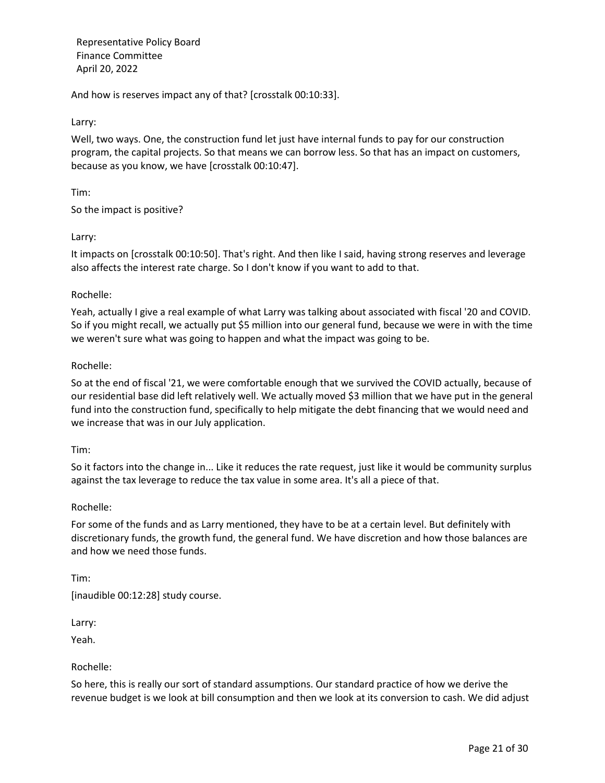And how is reserves impact any of that? [crosstalk 00:10:33].

Larry:

Well, two ways. One, the construction fund let just have internal funds to pay for our construction program, the capital projects. So that means we can borrow less. So that has an impact on customers, because as you know, we have [crosstalk 00:10:47].

Tim:

So the impact is positive?

## Larry:

It impacts on [crosstalk 00:10:50]. That's right. And then like I said, having strong reserves and leverage also affects the interest rate charge. So I don't know if you want to add to that.

## Rochelle:

Yeah, actually I give a real example of what Larry was talking about associated with fiscal '20 and COVID. So if you might recall, we actually put \$5 million into our general fund, because we were in with the time we weren't sure what was going to happen and what the impact was going to be.

## Rochelle:

So at the end of fiscal '21, we were comfortable enough that we survived the COVID actually, because of our residential base did left relatively well. We actually moved \$3 million that we have put in the general fund into the construction fund, specifically to help mitigate the debt financing that we would need and we increase that was in our July application.

### Tim:

So it factors into the change in... Like it reduces the rate request, just like it would be community surplus against the tax leverage to reduce the tax value in some area. It's all a piece of that.

### Rochelle:

For some of the funds and as Larry mentioned, they have to be at a certain level. But definitely with discretionary funds, the growth fund, the general fund. We have discretion and how those balances are and how we need those funds.

### Tim:

[inaudible 00:12:28] study course.

Larry:

Yeah.

### Rochelle:

So here, this is really our sort of standard assumptions. Our standard practice of how we derive the revenue budget is we look at bill consumption and then we look at its conversion to cash. We did adjust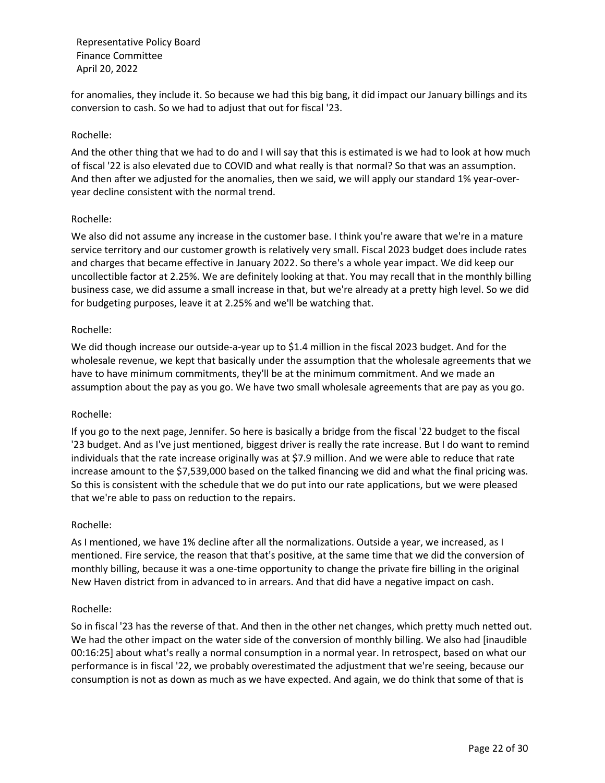for anomalies, they include it. So because we had this big bang, it did impact our January billings and its conversion to cash. So we had to adjust that out for fiscal '23.

## Rochelle:

And the other thing that we had to do and I will say that this is estimated is we had to look at how much of fiscal '22 is also elevated due to COVID and what really is that normal? So that was an assumption. And then after we adjusted for the anomalies, then we said, we will apply our standard 1% year-overyear decline consistent with the normal trend.

### Rochelle:

We also did not assume any increase in the customer base. I think you're aware that we're in a mature service territory and our customer growth is relatively very small. Fiscal 2023 budget does include rates and charges that became effective in January 2022. So there's a whole year impact. We did keep our uncollectible factor at 2.25%. We are definitely looking at that. You may recall that in the monthly billing business case, we did assume a small increase in that, but we're already at a pretty high level. So we did for budgeting purposes, leave it at 2.25% and we'll be watching that.

## Rochelle:

We did though increase our outside-a-year up to \$1.4 million in the fiscal 2023 budget. And for the wholesale revenue, we kept that basically under the assumption that the wholesale agreements that we have to have minimum commitments, they'll be at the minimum commitment. And we made an assumption about the pay as you go. We have two small wholesale agreements that are pay as you go.

### Rochelle:

If you go to the next page, Jennifer. So here is basically a bridge from the fiscal '22 budget to the fiscal '23 budget. And as I've just mentioned, biggest driver is really the rate increase. But I do want to remind individuals that the rate increase originally was at \$7.9 million. And we were able to reduce that rate increase amount to the \$7,539,000 based on the talked financing we did and what the final pricing was. So this is consistent with the schedule that we do put into our rate applications, but we were pleased that we're able to pass on reduction to the repairs.

### Rochelle:

As I mentioned, we have 1% decline after all the normalizations. Outside a year, we increased, as I mentioned. Fire service, the reason that that's positive, at the same time that we did the conversion of monthly billing, because it was a one-time opportunity to change the private fire billing in the original New Haven district from in advanced to in arrears. And that did have a negative impact on cash.

### Rochelle:

So in fiscal '23 has the reverse of that. And then in the other net changes, which pretty much netted out. We had the other impact on the water side of the conversion of monthly billing. We also had [inaudible 00:16:25] about what's really a normal consumption in a normal year. In retrospect, based on what our performance is in fiscal '22, we probably overestimated the adjustment that we're seeing, because our consumption is not as down as much as we have expected. And again, we do think that some of that is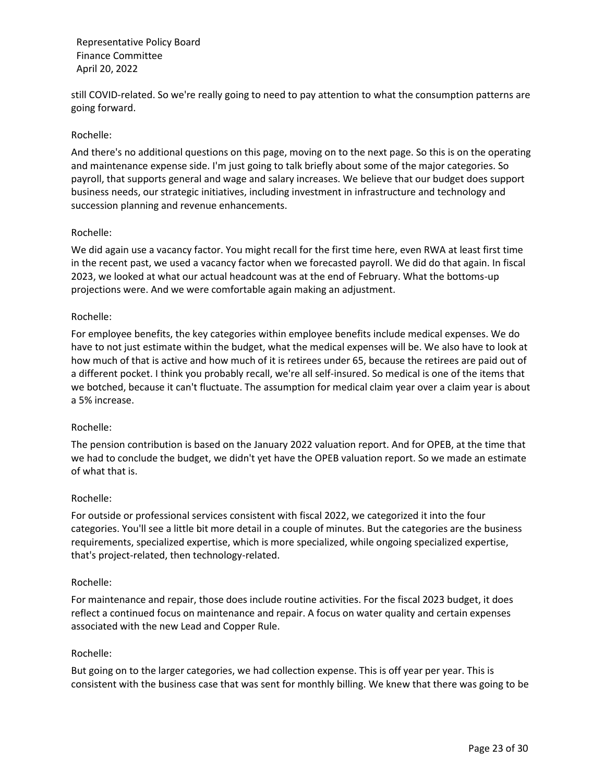still COVID-related. So we're really going to need to pay attention to what the consumption patterns are going forward.

## Rochelle:

And there's no additional questions on this page, moving on to the next page. So this is on the operating and maintenance expense side. I'm just going to talk briefly about some of the major categories. So payroll, that supports general and wage and salary increases. We believe that our budget does support business needs, our strategic initiatives, including investment in infrastructure and technology and succession planning and revenue enhancements.

## Rochelle:

We did again use a vacancy factor. You might recall for the first time here, even RWA at least first time in the recent past, we used a vacancy factor when we forecasted payroll. We did do that again. In fiscal 2023, we looked at what our actual headcount was at the end of February. What the bottoms-up projections were. And we were comfortable again making an adjustment.

## Rochelle:

For employee benefits, the key categories within employee benefits include medical expenses. We do have to not just estimate within the budget, what the medical expenses will be. We also have to look at how much of that is active and how much of it is retirees under 65, because the retirees are paid out of a different pocket. I think you probably recall, we're all self-insured. So medical is one of the items that we botched, because it can't fluctuate. The assumption for medical claim year over a claim year is about a 5% increase.

### Rochelle:

The pension contribution is based on the January 2022 valuation report. And for OPEB, at the time that we had to conclude the budget, we didn't yet have the OPEB valuation report. So we made an estimate of what that is.

### Rochelle:

For outside or professional services consistent with fiscal 2022, we categorized it into the four categories. You'll see a little bit more detail in a couple of minutes. But the categories are the business requirements, specialized expertise, which is more specialized, while ongoing specialized expertise, that's project-related, then technology-related.

### Rochelle:

For maintenance and repair, those does include routine activities. For the fiscal 2023 budget, it does reflect a continued focus on maintenance and repair. A focus on water quality and certain expenses associated with the new Lead and Copper Rule.

### Rochelle:

But going on to the larger categories, we had collection expense. This is off year per year. This is consistent with the business case that was sent for monthly billing. We knew that there was going to be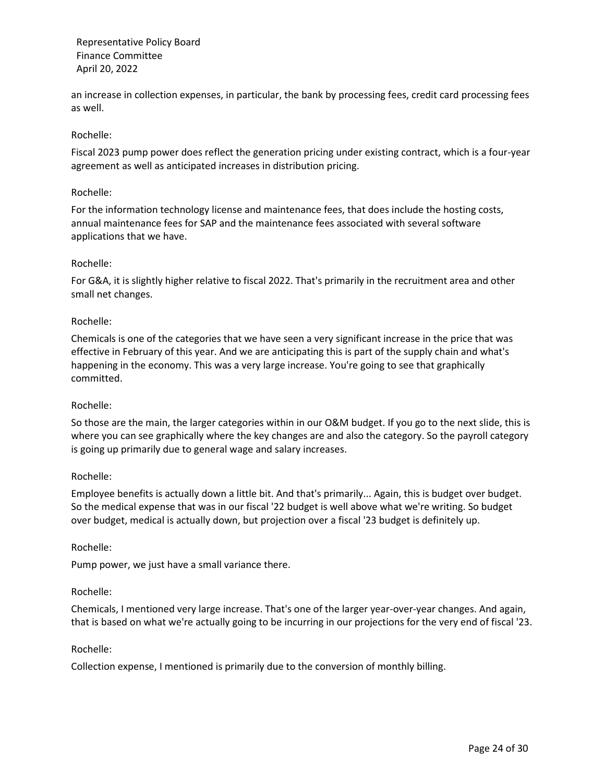an increase in collection expenses, in particular, the bank by processing fees, credit card processing fees as well.

## Rochelle:

Fiscal 2023 pump power does reflect the generation pricing under existing contract, which is a four-year agreement as well as anticipated increases in distribution pricing.

### Rochelle:

For the information technology license and maintenance fees, that does include the hosting costs, annual maintenance fees for SAP and the maintenance fees associated with several software applications that we have.

## Rochelle:

For G&A, it is slightly higher relative to fiscal 2022. That's primarily in the recruitment area and other small net changes.

## Rochelle:

Chemicals is one of the categories that we have seen a very significant increase in the price that was effective in February of this year. And we are anticipating this is part of the supply chain and what's happening in the economy. This was a very large increase. You're going to see that graphically committed.

### Rochelle:

So those are the main, the larger categories within in our O&M budget. If you go to the next slide, this is where you can see graphically where the key changes are and also the category. So the payroll category is going up primarily due to general wage and salary increases.

### Rochelle:

Employee benefits is actually down a little bit. And that's primarily... Again, this is budget over budget. So the medical expense that was in our fiscal '22 budget is well above what we're writing. So budget over budget, medical is actually down, but projection over a fiscal '23 budget is definitely up.

### Rochelle:

Pump power, we just have a small variance there.

### Rochelle:

Chemicals, I mentioned very large increase. That's one of the larger year-over-year changes. And again, that is based on what we're actually going to be incurring in our projections for the very end of fiscal '23.

### Rochelle:

Collection expense, I mentioned is primarily due to the conversion of monthly billing.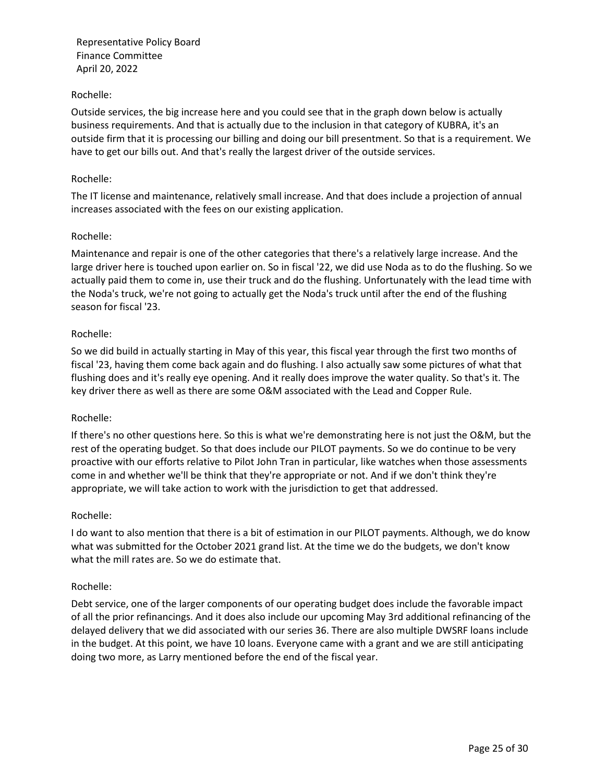## Rochelle:

Outside services, the big increase here and you could see that in the graph down below is actually business requirements. And that is actually due to the inclusion in that category of KUBRA, it's an outside firm that it is processing our billing and doing our bill presentment. So that is a requirement. We have to get our bills out. And that's really the largest driver of the outside services.

### Rochelle:

The IT license and maintenance, relatively small increase. And that does include a projection of annual increases associated with the fees on our existing application.

## Rochelle:

Maintenance and repair is one of the other categories that there's a relatively large increase. And the large driver here is touched upon earlier on. So in fiscal '22, we did use Noda as to do the flushing. So we actually paid them to come in, use their truck and do the flushing. Unfortunately with the lead time with the Noda's truck, we're not going to actually get the Noda's truck until after the end of the flushing season for fiscal '23.

## Rochelle:

So we did build in actually starting in May of this year, this fiscal year through the first two months of fiscal '23, having them come back again and do flushing. I also actually saw some pictures of what that flushing does and it's really eye opening. And it really does improve the water quality. So that's it. The key driver there as well as there are some O&M associated with the Lead and Copper Rule.

## Rochelle:

If there's no other questions here. So this is what we're demonstrating here is not just the O&M, but the rest of the operating budget. So that does include our PILOT payments. So we do continue to be very proactive with our efforts relative to Pilot John Tran in particular, like watches when those assessments come in and whether we'll be think that they're appropriate or not. And if we don't think they're appropriate, we will take action to work with the jurisdiction to get that addressed.

### Rochelle:

I do want to also mention that there is a bit of estimation in our PILOT payments. Although, we do know what was submitted for the October 2021 grand list. At the time we do the budgets, we don't know what the mill rates are. So we do estimate that.

### Rochelle:

Debt service, one of the larger components of our operating budget does include the favorable impact of all the prior refinancings. And it does also include our upcoming May 3rd additional refinancing of the delayed delivery that we did associated with our series 36. There are also multiple DWSRF loans include in the budget. At this point, we have 10 loans. Everyone came with a grant and we are still anticipating doing two more, as Larry mentioned before the end of the fiscal year.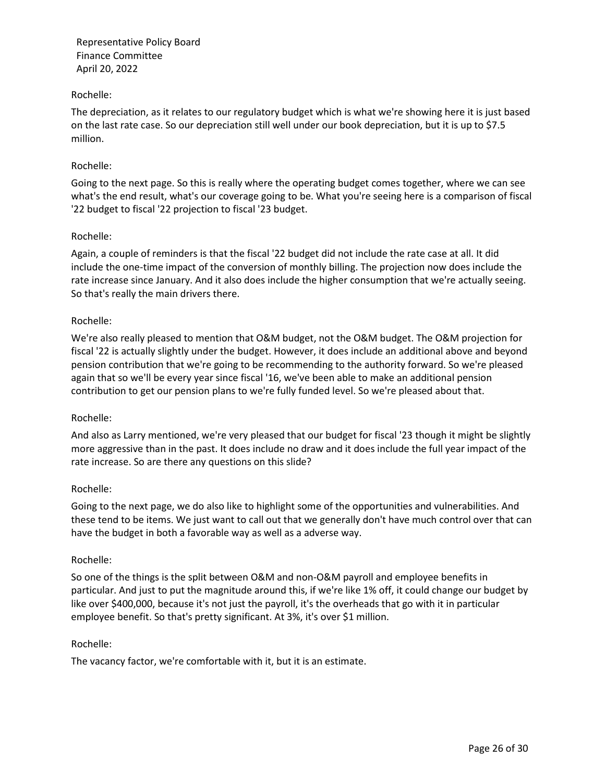## Rochelle:

The depreciation, as it relates to our regulatory budget which is what we're showing here it is just based on the last rate case. So our depreciation still well under our book depreciation, but it is up to \$7.5 million.

## Rochelle:

Going to the next page. So this is really where the operating budget comes together, where we can see what's the end result, what's our coverage going to be. What you're seeing here is a comparison of fiscal '22 budget to fiscal '22 projection to fiscal '23 budget.

## Rochelle:

Again, a couple of reminders is that the fiscal '22 budget did not include the rate case at all. It did include the one-time impact of the conversion of monthly billing. The projection now does include the rate increase since January. And it also does include the higher consumption that we're actually seeing. So that's really the main drivers there.

## Rochelle:

We're also really pleased to mention that O&M budget, not the O&M budget. The O&M projection for fiscal '22 is actually slightly under the budget. However, it does include an additional above and beyond pension contribution that we're going to be recommending to the authority forward. So we're pleased again that so we'll be every year since fiscal '16, we've been able to make an additional pension contribution to get our pension plans to we're fully funded level. So we're pleased about that.

### Rochelle:

And also as Larry mentioned, we're very pleased that our budget for fiscal '23 though it might be slightly more aggressive than in the past. It does include no draw and it does include the full year impact of the rate increase. So are there any questions on this slide?

### Rochelle:

Going to the next page, we do also like to highlight some of the opportunities and vulnerabilities. And these tend to be items. We just want to call out that we generally don't have much control over that can have the budget in both a favorable way as well as a adverse way.

### Rochelle:

So one of the things is the split between O&M and non-O&M payroll and employee benefits in particular. And just to put the magnitude around this, if we're like 1% off, it could change our budget by like over \$400,000, because it's not just the payroll, it's the overheads that go with it in particular employee benefit. So that's pretty significant. At 3%, it's over \$1 million.

### Rochelle:

The vacancy factor, we're comfortable with it, but it is an estimate.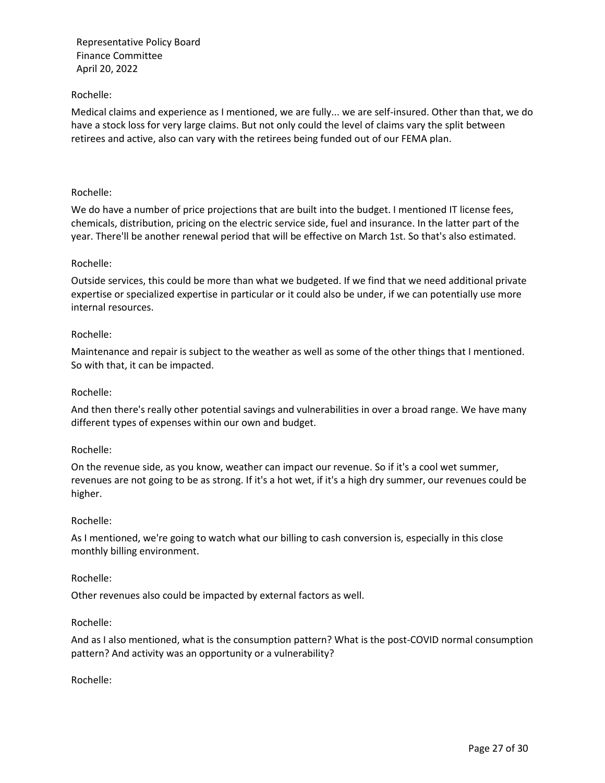## Rochelle:

Medical claims and experience as I mentioned, we are fully... we are self-insured. Other than that, we do have a stock loss for very large claims. But not only could the level of claims vary the split between retirees and active, also can vary with the retirees being funded out of our FEMA plan.

### Rochelle:

We do have a number of price projections that are built into the budget. I mentioned IT license fees, chemicals, distribution, pricing on the electric service side, fuel and insurance. In the latter part of the year. There'll be another renewal period that will be effective on March 1st. So that's also estimated.

### Rochelle:

Outside services, this could be more than what we budgeted. If we find that we need additional private expertise or specialized expertise in particular or it could also be under, if we can potentially use more internal resources.

## Rochelle:

Maintenance and repair is subject to the weather as well as some of the other things that I mentioned. So with that, it can be impacted.

### Rochelle:

And then there's really other potential savings and vulnerabilities in over a broad range. We have many different types of expenses within our own and budget.

### Rochelle:

On the revenue side, as you know, weather can impact our revenue. So if it's a cool wet summer, revenues are not going to be as strong. If it's a hot wet, if it's a high dry summer, our revenues could be higher.

### Rochelle:

As I mentioned, we're going to watch what our billing to cash conversion is, especially in this close monthly billing environment.

### Rochelle:

Other revenues also could be impacted by external factors as well.

### Rochelle:

And as I also mentioned, what is the consumption pattern? What is the post-COVID normal consumption pattern? And activity was an opportunity or a vulnerability?

### Rochelle: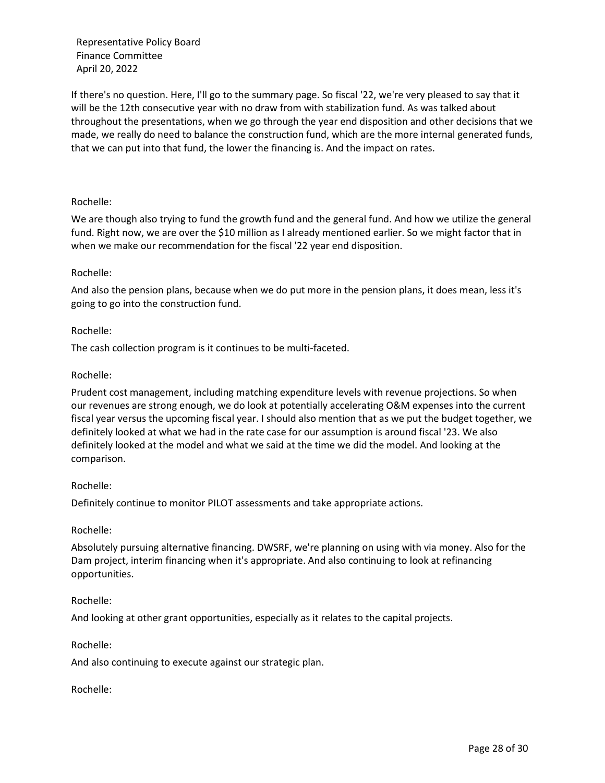If there's no question. Here, I'll go to the summary page. So fiscal '22, we're very pleased to say that it will be the 12th consecutive year with no draw from with stabilization fund. As was talked about throughout the presentations, when we go through the year end disposition and other decisions that we made, we really do need to balance the construction fund, which are the more internal generated funds, that we can put into that fund, the lower the financing is. And the impact on rates.

## Rochelle:

We are though also trying to fund the growth fund and the general fund. And how we utilize the general fund. Right now, we are over the \$10 million as I already mentioned earlier. So we might factor that in when we make our recommendation for the fiscal '22 year end disposition.

## Rochelle:

And also the pension plans, because when we do put more in the pension plans, it does mean, less it's going to go into the construction fund.

## Rochelle:

The cash collection program is it continues to be multi-faceted.

# Rochelle:

Prudent cost management, including matching expenditure levels with revenue projections. So when our revenues are strong enough, we do look at potentially accelerating O&M expenses into the current fiscal year versus the upcoming fiscal year. I should also mention that as we put the budget together, we definitely looked at what we had in the rate case for our assumption is around fiscal '23. We also definitely looked at the model and what we said at the time we did the model. And looking at the comparison.

## Rochelle:

Definitely continue to monitor PILOT assessments and take appropriate actions.

## Rochelle:

Absolutely pursuing alternative financing. DWSRF, we're planning on using with via money. Also for the Dam project, interim financing when it's appropriate. And also continuing to look at refinancing opportunities.

## Rochelle:

And looking at other grant opportunities, especially as it relates to the capital projects.

## Rochelle:

And also continuing to execute against our strategic plan.

## Rochelle: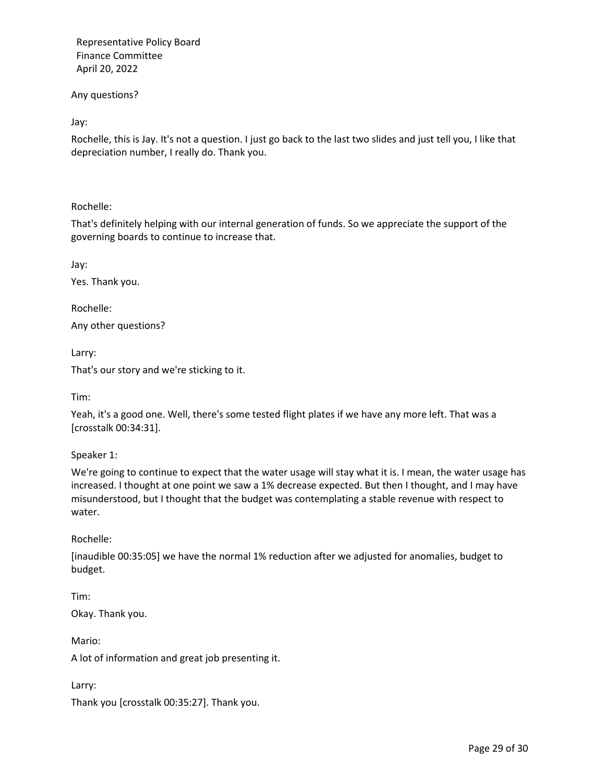Any questions?

Jay:

Rochelle, this is Jay. It's not a question. I just go back to the last two slides and just tell you, I like that depreciation number, I really do. Thank you.

Rochelle:

That's definitely helping with our internal generation of funds. So we appreciate the support of the governing boards to continue to increase that.

Jay:

Yes. Thank you.

Rochelle:

Any other questions?

Larry:

That's our story and we're sticking to it.

Tim:

Yeah, it's a good one. Well, there's some tested flight plates if we have any more left. That was a [crosstalk 00:34:31].

Speaker 1:

We're going to continue to expect that the water usage will stay what it is. I mean, the water usage has increased. I thought at one point we saw a 1% decrease expected. But then I thought, and I may have misunderstood, but I thought that the budget was contemplating a stable revenue with respect to water.

Rochelle:

[inaudible 00:35:05] we have the normal 1% reduction after we adjusted for anomalies, budget to budget.

Tim: Okay. Thank you.

Mario: A lot of information and great job presenting it.

Larry:

Thank you [crosstalk 00:35:27]. Thank you.